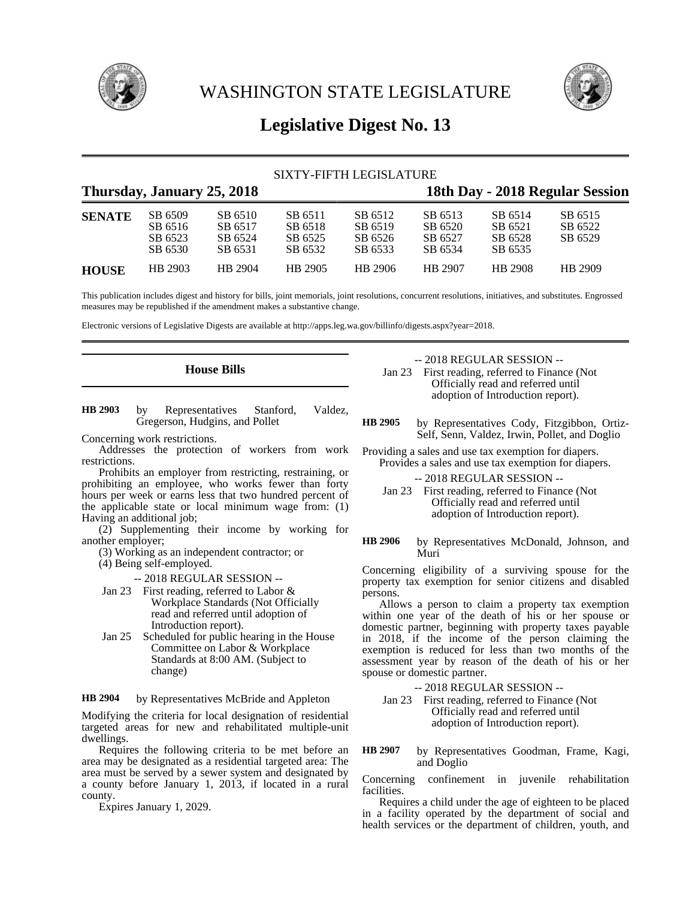

WASHINGTON STATE LEGISLATURE



# **Legislative Digest No. 13**

|               |                                          |                                          | SIXTY-FIFTH LEGISLATURE                  |                                          |                                          |                                          |                                 |  |
|---------------|------------------------------------------|------------------------------------------|------------------------------------------|------------------------------------------|------------------------------------------|------------------------------------------|---------------------------------|--|
|               | Thursday, January 25, 2018               |                                          |                                          |                                          |                                          |                                          | 18th Day - 2018 Regular Session |  |
| <b>SENATE</b> | SB 6509<br>SB 6516<br>SB 6523<br>SB 6530 | SB 6510<br>SB 6517<br>SB 6524<br>SB 6531 | SB 6511<br>SB 6518<br>SB 6525<br>SB 6532 | SB 6512<br>SB 6519<br>SB 6526<br>SB 6533 | SB 6513<br>SB 6520<br>SB 6527<br>SB 6534 | SB 6514<br>SB 6521<br>SB 6528<br>SB 6535 | SB 6515<br>SB 6522<br>SB 6529   |  |
| <b>HOUSE</b>  | HB 2903                                  | HB 2904                                  | HB 2905                                  | HB 2906                                  | HB 2907                                  | HB 2908                                  | HB 2909                         |  |

This publication includes digest and history for bills, joint memorials, joint resolutions, concurrent resolutions, initiatives, and substitutes. Engrossed measures may be republished if the amendment makes a substantive change.

Electronic versions of Legislative Digests are available at http://apps.leg.wa.gov/billinfo/digests.aspx?year=2018.

# **House Bills**

by Representatives Stanford, Valdez, Gregerson, Hudgins, and Pollet **HB 2903**

Concerning work restrictions.

Addresses the protection of workers from work restrictions.

Prohibits an employer from restricting, restraining, or prohibiting an employee, who works fewer than forty hours per week or earns less that two hundred percent of the applicable state or local minimum wage from: (1) Having an additional job;

(2) Supplementing their income by working for another employer;

(3) Working as an independent contractor; or (4) Being self-employed.

-- 2018 REGULAR SESSION --

- Jan 23 First reading, referred to Labor & Workplace Standards (Not Officially read and referred until adoption of Introduction report).
- Jan 25 Scheduled for public hearing in the House Committee on Labor & Workplace Standards at 8:00 AM. (Subject to change)

by Representatives McBride and Appleton **HB 2904**

Modifying the criteria for local designation of residential targeted areas for new and rehabilitated multiple-unit dwellings.

Requires the following criteria to be met before an area may be designated as a residential targeted area: The area must be served by a sewer system and designated by a county before January 1, 2013, if located in a rural county.

Expires January 1, 2029.

## -- 2018 REGULAR SESSION --

Jan 23 First reading, referred to Finance (Not Officially read and referred until adoption of Introduction report).

by Representatives Cody, Fitzgibbon, Ortiz-Self, Senn, Valdez, Irwin, Pollet, and Doglio **HB 2905**

Providing a sales and use tax exemption for diapers. Provides a sales and use tax exemption for diapers.

-- 2018 REGULAR SESSION --

Jan 23 First reading, referred to Finance (Not Officially read and referred until adoption of Introduction report).

by Representatives McDonald, Johnson, and Muri **HB 2906**

Concerning eligibility of a surviving spouse for the property tax exemption for senior citizens and disabled persons.

Allows a person to claim a property tax exemption within one year of the death of his or her spouse or domestic partner, beginning with property taxes payable in 2018, if the income of the person claiming the exemption is reduced for less than two months of the assessment year by reason of the death of his or her spouse or domestic partner.

-- 2018 REGULAR SESSION --

Jan 23 First reading, referred to Finance (Not Officially read and referred until adoption of Introduction report).

by Representatives Goodman, Frame, Kagi, and Doglio **HB 2907**

Concerning confinement in juvenile rehabilitation facilities.

Requires a child under the age of eighteen to be placed in a facility operated by the department of social and health services or the department of children, youth, and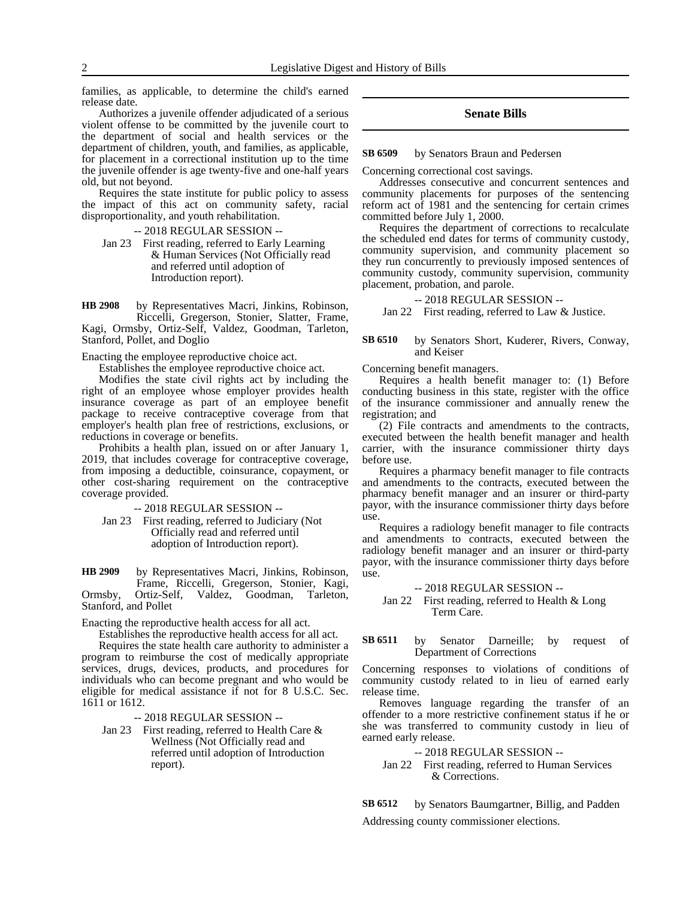families, as applicable, to determine the child's earned release date.

Authorizes a juvenile offender adjudicated of a serious violent offense to be committed by the juvenile court to the department of social and health services or the department of children, youth, and families, as applicable, for placement in a correctional institution up to the time the juvenile offender is age twenty-five and one-half years old, but not beyond.

Requires the state institute for public policy to assess the impact of this act on community safety, racial disproportionality, and youth rehabilitation.

-- 2018 REGULAR SESSION --

Jan 23 First reading, referred to Early Learning & Human Services (Not Officially read and referred until adoption of Introduction report).

by Representatives Macri, Jinkins, Robinson, Riccelli, Gregerson, Stonier, Slatter, Frame, Kagi, Ormsby, Ortiz-Self, Valdez, Goodman, Tarleton, Stanford, Pollet, and Doglio **HB 2908**

Enacting the employee reproductive choice act.

Establishes the employee reproductive choice act.

Modifies the state civil rights act by including the right of an employee whose employer provides health insurance coverage as part of an employee benefit package to receive contraceptive coverage from that employer's health plan free of restrictions, exclusions, or reductions in coverage or benefits.

Prohibits a health plan, issued on or after January 1, 2019, that includes coverage for contraceptive coverage, from imposing a deductible, coinsurance, copayment, or other cost-sharing requirement on the contraceptive coverage provided.

-- 2018 REGULAR SESSION --

Jan 23 First reading, referred to Judiciary (Not Officially read and referred until adoption of Introduction report).

by Representatives Macri, Jinkins, Robinson, Frame, Riccelli, Gregerson, Stonier, Kagi, Ormsby, Ortiz-Self, Valdez, Goodman, Tarleton, Stanford, and Pollet **HB 2909**

Enacting the reproductive health access for all act.

Establishes the reproductive health access for all act.

Requires the state health care authority to administer a program to reimburse the cost of medically appropriate services, drugs, devices, products, and procedures for individuals who can become pregnant and who would be eligible for medical assistance if not for 8 U.S.C. Sec. 1611 or 1612.

-- 2018 REGULAR SESSION --

Jan 23 First reading, referred to Health Care & Wellness (Not Officially read and referred until adoption of Introduction report).

# **Senate Bills**

by Senators Braun and Pedersen **SB 6509**

Concerning correctional cost savings.

Addresses consecutive and concurrent sentences and community placements for purposes of the sentencing reform act of 1981 and the sentencing for certain crimes committed before July 1, 2000.

Requires the department of corrections to recalculate the scheduled end dates for terms of community custody, community supervision, and community placement so they run concurrently to previously imposed sentences of community custody, community supervision, community placement, probation, and parole.

### -- 2018 REGULAR SESSION --

Jan 22 First reading, referred to Law & Justice.

### by Senators Short, Kuderer, Rivers, Conway, and Keiser **SB 6510**

Concerning benefit managers.

Requires a health benefit manager to: (1) Before conducting business in this state, register with the office of the insurance commissioner and annually renew the registration; and

(2) File contracts and amendments to the contracts, executed between the health benefit manager and health carrier, with the insurance commissioner thirty days before use.

Requires a pharmacy benefit manager to file contracts and amendments to the contracts, executed between the pharmacy benefit manager and an insurer or third-party payor, with the insurance commissioner thirty days before use.

Requires a radiology benefit manager to file contracts and amendments to contracts, executed between the radiology benefit manager and an insurer or third-party payor, with the insurance commissioner thirty days before use.

-- 2018 REGULAR SESSION -- Jan 22 First reading, referred to Health & Long Term Care.

### by Senator Darneille; by request of Department of Corrections **SB 6511**

Concerning responses to violations of conditions of community custody related to in lieu of earned early release time.

Removes language regarding the transfer of an offender to a more restrictive confinement status if he or she was transferred to community custody in lieu of earned early release.

-- 2018 REGULAR SESSION --

Jan 22 First reading, referred to Human Services & Corrections.

by Senators Baumgartner, Billig, and Padden **SB 6512**

Addressing county commissioner elections.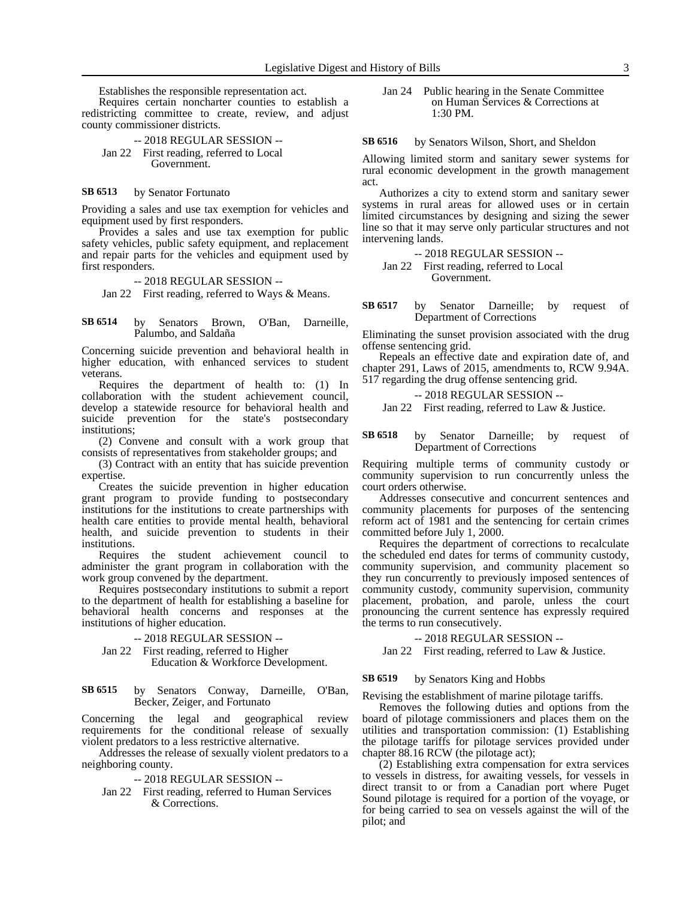Establishes the responsible representation act.

Requires certain noncharter counties to establish a redistricting committee to create, review, and adjust county commissioner districts.

-- 2018 REGULAR SESSION -- Jan 22 First reading, referred to Local Government.

#### by Senator Fortunato **SB 6513**

Providing a sales and use tax exemption for vehicles and equipment used by first responders.

Provides a sales and use tax exemption for public safety vehicles, public safety equipment, and replacement and repair parts for the vehicles and equipment used by first responders.

### -- 2018 REGULAR SESSION --

Jan 22 First reading, referred to Ways & Means.

by Senators Brown, O'Ban, Darneille, Palumbo, and Saldaña **SB 6514**

Concerning suicide prevention and behavioral health in higher education, with enhanced services to student veterans.

Requires the department of health to: (1) In collaboration with the student achievement council, develop a statewide resource for behavioral health and suicide prevention for the state's postsecondary institutions;

(2) Convene and consult with a work group that consists of representatives from stakeholder groups; and

(3) Contract with an entity that has suicide prevention expertise.

Creates the suicide prevention in higher education grant program to provide funding to postsecondary institutions for the institutions to create partnerships with health care entities to provide mental health, behavioral health, and suicide prevention to students in their institutions.

Requires the student achievement council to administer the grant program in collaboration with the work group convened by the department.

Requires postsecondary institutions to submit a report to the department of health for establishing a baseline for behavioral health concerns and responses at the institutions of higher education.

### -- 2018 REGULAR SESSION --

- Jan 22 First reading, referred to Higher Education & Workforce Development.
- by Senators Conway, Darneille, O'Ban, Becker, Zeiger, and Fortunato **SB 6515**

Concerning the legal and geographical review requirements for the conditional release of sexually violent predators to a less restrictive alternative.

Addresses the release of sexually violent predators to a neighboring county.

-- 2018 REGULAR SESSION --

Jan 22 First reading, referred to Human Services & Corrections.

Jan 24 Public hearing in the Senate Committee on Human Services & Corrections at 1:30 PM.

by Senators Wilson, Short, and Sheldon **SB 6516**

Allowing limited storm and sanitary sewer systems for rural economic development in the growth management act.

Authorizes a city to extend storm and sanitary sewer systems in rural areas for allowed uses or in certain limited circumstances by designing and sizing the sewer line so that it may serve only particular structures and not intervening lands.

-- 2018 REGULAR SESSION --

Jan 22 First reading, referred to Local Government.

by Senator Darneille; by request of Department of Corrections **SB 6517**

Eliminating the sunset provision associated with the drug offense sentencing grid.

Repeals an effective date and expiration date of, and chapter 291, Laws of 2015, amendments to, RCW 9.94A. 517 regarding the drug offense sentencing grid.

-- 2018 REGULAR SESSION --

Jan 22 First reading, referred to Law & Justice.

### by Senator Darneille; by request of Department of Corrections **SB 6518**

Requiring multiple terms of community custody or community supervision to run concurrently unless the court orders otherwise.

Addresses consecutive and concurrent sentences and community placements for purposes of the sentencing reform act of 1981 and the sentencing for certain crimes committed before July 1, 2000.

Requires the department of corrections to recalculate the scheduled end dates for terms of community custody, community supervision, and community placement so they run concurrently to previously imposed sentences of community custody, community supervision, community placement, probation, and parole, unless the court pronouncing the current sentence has expressly required the terms to run consecutively.

### -- 2018 REGULAR SESSION --

Jan 22 First reading, referred to Law & Justice.

#### by Senators King and Hobbs **SB 6519**

Revising the establishment of marine pilotage tariffs.

Removes the following duties and options from the board of pilotage commissioners and places them on the utilities and transportation commission: (1) Establishing the pilotage tariffs for pilotage services provided under chapter 88.16 RCW (the pilotage act);

(2) Establishing extra compensation for extra services to vessels in distress, for awaiting vessels, for vessels in direct transit to or from a Canadian port where Puget Sound pilotage is required for a portion of the voyage, or for being carried to sea on vessels against the will of the pilot; and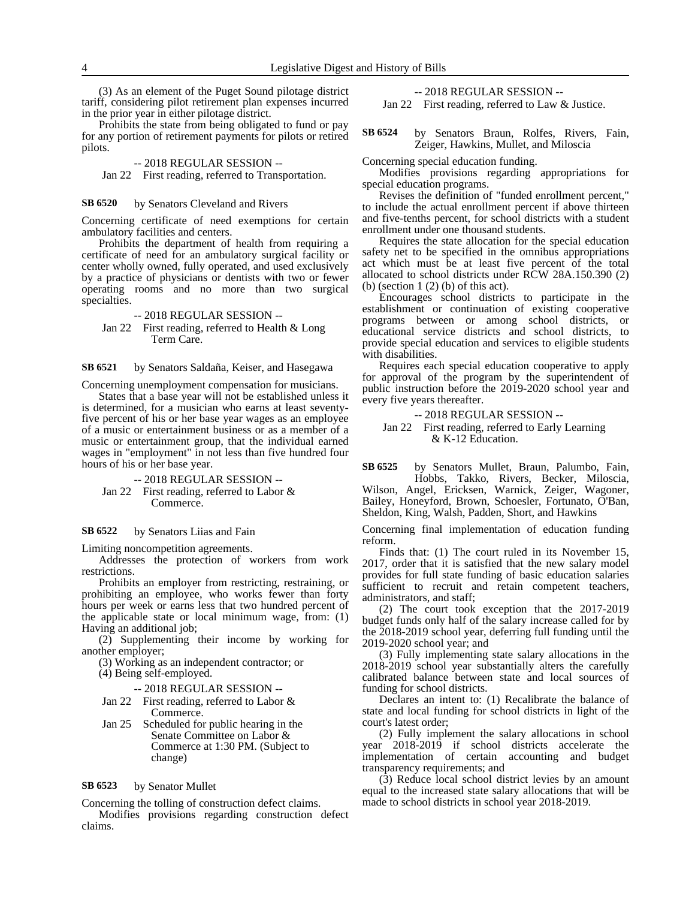(3) As an element of the Puget Sound pilotage district tariff, considering pilot retirement plan expenses incurred in the prior year in either pilotage district.

Prohibits the state from being obligated to fund or pay for any portion of retirement payments for pilots or retired pilots.

# -- 2018 REGULAR SESSION --

Jan 22 First reading, referred to Transportation.

#### by Senators Cleveland and Rivers **SB 6520**

Concerning certificate of need exemptions for certain ambulatory facilities and centers.

Prohibits the department of health from requiring a certificate of need for an ambulatory surgical facility or center wholly owned, fully operated, and used exclusively by a practice of physicians or dentists with two or fewer operating rooms and no more than two surgical specialties.

-- 2018 REGULAR SESSION --

Jan 22 First reading, referred to Health & Long Term Care.

by Senators Saldaña, Keiser, and Hasegawa **SB 6521**

Concerning unemployment compensation for musicians.

States that a base year will not be established unless it is determined, for a musician who earns at least seventyfive percent of his or her base year wages as an employee of a music or entertainment business or as a member of a music or entertainment group, that the individual earned wages in "employment" in not less than five hundred four hours of his or her base year.

-- 2018 REGULAR SESSION -- Jan 22 First reading, referred to Labor & Commerce.

#### by Senators Liias and Fain **SB 6522**

Limiting noncompetition agreements.

Addresses the protection of workers from work restrictions.

Prohibits an employer from restricting, restraining, or prohibiting an employee, who works fewer than forty hours per week or earns less that two hundred percent of the applicable state or local minimum wage, from: (1) Having an additional job;

(2) Supplementing their income by working for another employer;

(3) Working as an independent contractor; or (4) Being self-employed.

-- 2018 REGULAR SESSION --

- Jan 22 First reading, referred to Labor & Commerce.
- Jan 25 Scheduled for public hearing in the Senate Committee on Labor & Commerce at 1:30 PM. (Subject to change)

#### by Senator Mullet **SB 6523**

claims.

Concerning the tolling of construction defect claims. Modifies provisions regarding construction defect -- 2018 REGULAR SESSION --

Jan 22 First reading, referred to Law & Justice.

by Senators Braun, Rolfes, Rivers, Fain, Zeiger, Hawkins, Mullet, and Miloscia **SB 6524**

Concerning special education funding.

Modifies provisions regarding appropriations for special education programs.

Revises the definition of "funded enrollment percent," to include the actual enrollment percent if above thirteen and five-tenths percent, for school districts with a student enrollment under one thousand students.

Requires the state allocation for the special education safety net to be specified in the omnibus appropriations act which must be at least five percent of the total allocated to school districts under RCW 28A.150.390 (2) (b) (section  $1(2)$  (b) of this act).

Encourages school districts to participate in the establishment or continuation of existing cooperative programs between or among school districts, or educational service districts and school districts, to provide special education and services to eligible students with disabilities.

Requires each special education cooperative to apply for approval of the program by the superintendent of public instruction before the 2019-2020 school year and every five years thereafter.

-- 2018 REGULAR SESSION -- Jan 22 First reading, referred to Early Learning & K-12 Education.

by Senators Mullet, Braun, Palumbo, Fain, Hobbs, Takko, Rivers, Becker, Miloscia, Wilson, Angel, Ericksen, Warnick, Zeiger, Wagoner, Bailey, Honeyford, Brown, Schoesler, Fortunato, O'Ban, Sheldon, King, Walsh, Padden, Short, and Hawkins **SB 6525**

Concerning final implementation of education funding reform.

Finds that: (1) The court ruled in its November 15, 2017, order that it is satisfied that the new salary model provides for full state funding of basic education salaries sufficient to recruit and retain competent teachers, administrators, and staff;

(2) The court took exception that the 2017-2019 budget funds only half of the salary increase called for by the 2018-2019 school year, deferring full funding until the 2019-2020 school year; and

(3) Fully implementing state salary allocations in the 2018-2019 school year substantially alters the carefully calibrated balance between state and local sources of funding for school districts.

Declares an intent to: (1) Recalibrate the balance of state and local funding for school districts in light of the court's latest order;

(2) Fully implement the salary allocations in school year 2018-2019 if school districts accelerate the implementation of certain accounting and budget transparency requirements; and

(3) Reduce local school district levies by an amount equal to the increased state salary allocations that will be made to school districts in school year 2018-2019.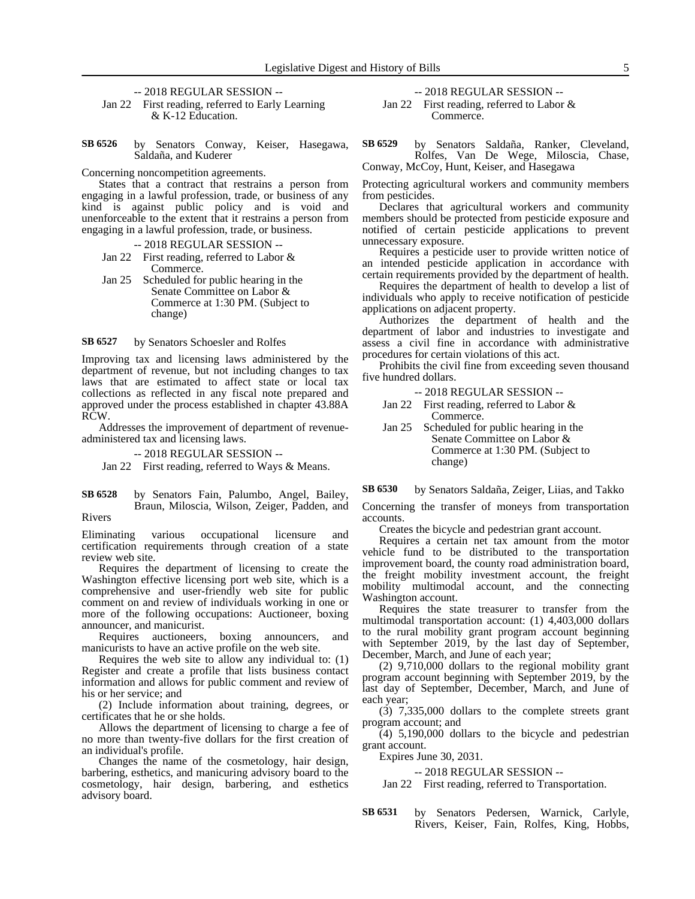-- 2018 REGULAR SESSION --

Jan 22 First reading, referred to Early Learning & K-12 Education.

by Senators Conway, Keiser, Hasegawa, Saldaña, and Kuderer **SB 6526**

Concerning noncompetition agreements.

States that a contract that restrains a person from engaging in a lawful profession, trade, or business of any kind is against public policy and is void and unenforceable to the extent that it restrains a person from engaging in a lawful profession, trade, or business.

### -- 2018 REGULAR SESSION --

- Jan 22 First reading, referred to Labor & Commerce.
- Jan 25 Scheduled for public hearing in the Senate Committee on Labor & Commerce at 1:30 PM. (Subject to change)

by Senators Schoesler and Rolfes **SB 6527**

Improving tax and licensing laws administered by the department of revenue, but not including changes to tax laws that are estimated to affect state or local tax collections as reflected in any fiscal note prepared and approved under the process established in chapter 43.88A RCW.

Addresses the improvement of department of revenueadministered tax and licensing laws.

-- 2018 REGULAR SESSION --

Jan 22 First reading, referred to Ways & Means.

by Senators Fain, Palumbo, Angel, Bailey, Braun, Miloscia, Wilson, Zeiger, Padden, and Rivers **SB 6528**

Eliminating various occupational licensure and certification requirements through creation of a state review web site.

Requires the department of licensing to create the Washington effective licensing port web site, which is a comprehensive and user-friendly web site for public comment on and review of individuals working in one or more of the following occupations: Auctioneer, boxing announcer, and manicurist.

Requires auctioneers, boxing announcers, and manicurists to have an active profile on the web site.

Requires the web site to allow any individual to: (1) Register and create a profile that lists business contact information and allows for public comment and review of his or her service; and

(2) Include information about training, degrees, or certificates that he or she holds.

Allows the department of licensing to charge a fee of no more than twenty-five dollars for the first creation of an individual's profile.

Changes the name of the cosmetology, hair design, barbering, esthetics, and manicuring advisory board to the cosmetology, hair design, barbering, and esthetics advisory board.

-- 2018 REGULAR SESSION -- Jan 22 First reading, referred to Labor & Commerce.

by Senators Saldaña, Ranker, Cleveland, Rolfes, Van De Wege, Miloscia, Chase, Conway, McCoy, Hunt, Keiser, and Hasegawa **SB 6529**

Protecting agricultural workers and community members from pesticides.

Declares that agricultural workers and community members should be protected from pesticide exposure and notified of certain pesticide applications to prevent unnecessary exposure.

Requires a pesticide user to provide written notice of an intended pesticide application in accordance with certain requirements provided by the department of health.

Requires the department of health to develop a list of individuals who apply to receive notification of pesticide applications on adjacent property.

Authorizes the department of health and the department of labor and industries to investigate and assess a civil fine in accordance with administrative procedures for certain violations of this act.

Prohibits the civil fine from exceeding seven thousand five hundred dollars.

|  |  | $-2018$ REGULAR SESSION $-$ |
|--|--|-----------------------------|
|--|--|-----------------------------|

- Jan 22 First reading, referred to Labor & Commerce.
- Jan 25 Scheduled for public hearing in the Senate Committee on Labor & Commerce at 1:30 PM. (Subject to change)

by Senators Saldaña, Zeiger, Liias, and Takko **SB 6530**

Concerning the transfer of moneys from transportation accounts.

Creates the bicycle and pedestrian grant account.

Requires a certain net tax amount from the motor vehicle fund to be distributed to the transportation improvement board, the county road administration board, the freight mobility investment account, the freight mobility multimodal account, and the connecting Washington account.

Requires the state treasurer to transfer from the multimodal transportation account: (1) 4,403,000 dollars to the rural mobility grant program account beginning with September 2019, by the last day of September, December, March, and June of each year;

(2) 9,710,000 dollars to the regional mobility grant program account beginning with September 2019, by the last day of September, December, March, and June of each year;

(3) 7,335,000 dollars to the complete streets grant program account; and

(4) 5,190,000 dollars to the bicycle and pedestrian grant account.

Expires June 30, 2031.

### -- 2018 REGULAR SESSION --

Jan 22 First reading, referred to Transportation.

by Senators Pedersen, Warnick, Carlyle, Rivers, Keiser, Fain, Rolfes, King, Hobbs, **SB 6531**